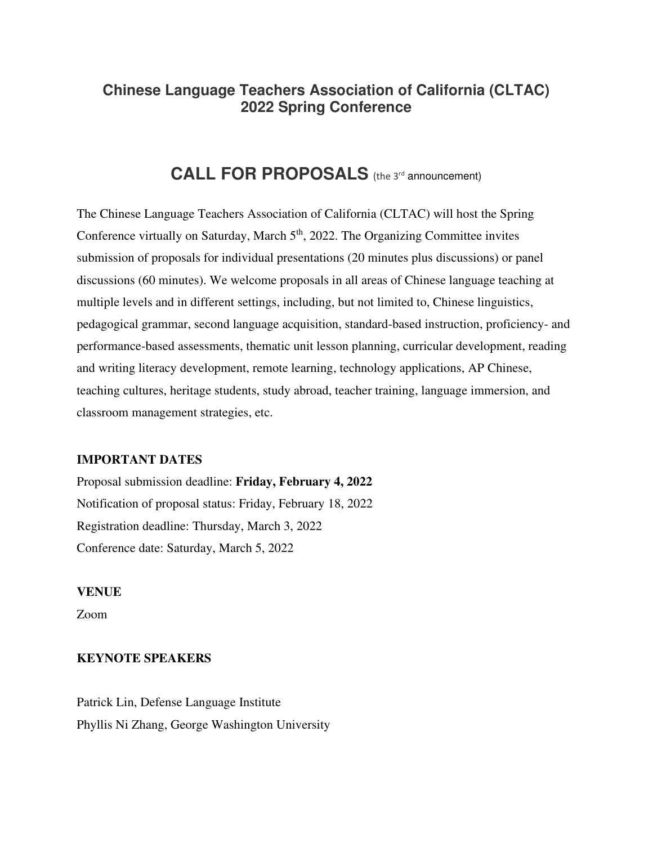# **Chinese Language Teachers Association of California (CLTAC) 2022 Spring Conference**

# CALL FOR PROPOSALS (the 3<sup>rd</sup> announcement)

The Chinese Language Teachers Association of California (CLTAC) will host the Spring Conference virtually on Saturday, March  $5<sup>th</sup>$ , 2022. The Organizing Committee invites submission of proposals for individual presentations (20 minutes plus discussions) or panel discussions (60 minutes). We welcome proposals in all areas of Chinese language teaching at multiple levels and in different settings, including, but not limited to, Chinese linguistics, pedagogical grammar, second language acquisition, standard-based instruction, proficiency- and performance-based assessments, thematic unit lesson planning, curricular development, reading and writing literacy development, remote learning, technology applications, AP Chinese, teaching cultures, heritage students, study abroad, teacher training, language immersion, and classroom management strategies, etc.

#### **IMPORTANT DATES**

Proposal submission deadline: **Friday, February 4, 2022** Notification of proposal status: Friday, February 18, 2022 Registration deadline: Thursday, March 3, 2022 Conference date: Saturday, March 5, 2022

#### **VENUE**

Zoom

### **KEYNOTE SPEAKERS**

Patrick Lin, Defense Language Institute Phyllis Ni Zhang, George Washington University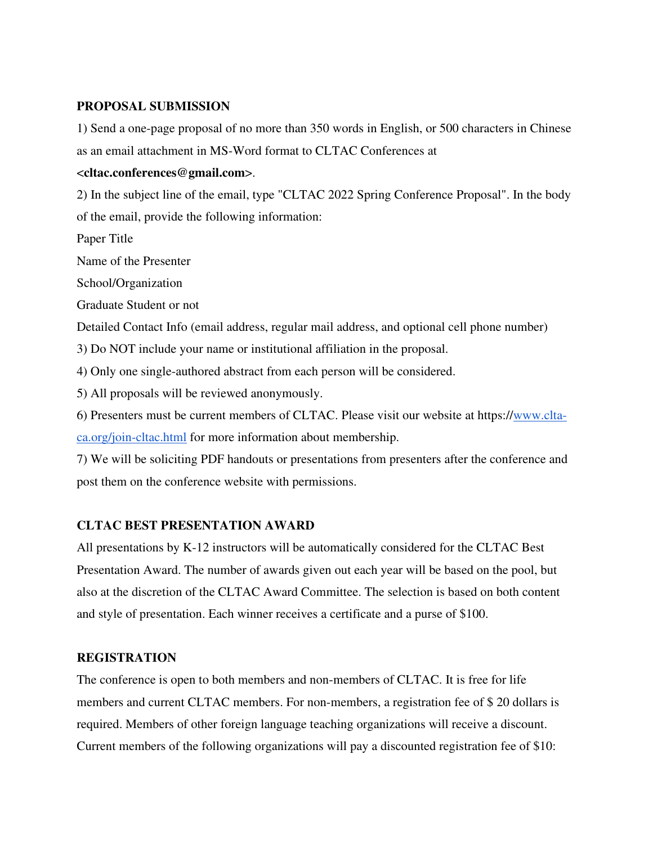### **PROPOSAL SUBMISSION**

1) Send a one-page proposal of no more than 350 words in English, or 500 characters in Chinese as an email attachment in MS-Word format to CLTAC Conferences at

#### <**cltac.conferences@gmail.com**>.

2) In the subject line of the email, type "CLTAC 2022 Spring Conference Proposal". In the body of the email, provide the following information:

Paper Title

Name of the Presenter

School/Organization

Graduate Student or not

Detailed Contact Info (email address, regular mail address, and optional cell phone number)

3) Do NOT include your name or institutional affiliation in the proposal.

4) Only one single-authored abstract from each person will be considered.

5) All proposals will be reviewed anonymously.

6) Presenters must be current members of CLTAC. Please visit our website at https://www.cltaca.org/join-cltac.html for more information about membership.

7) We will be soliciting PDF handouts or presentations from presenters after the conference and post them on the conference website with permissions.

#### **CLTAC BEST PRESENTATION AWARD**

All presentations by K-12 instructors will be automatically considered for the CLTAC Best Presentation Award. The number of awards given out each year will be based on the pool, but also at the discretion of the CLTAC Award Committee. The selection is based on both content and style of presentation. Each winner receives a certificate and a purse of \$100.

### **REGISTRATION**

The conference is open to both members and non-members of CLTAC. It is free for life members and current CLTAC members. For non-members, a registration fee of \$ 20 dollars is required. Members of other foreign language teaching organizations will receive a discount. Current members of the following organizations will pay a discounted registration fee of \$10: